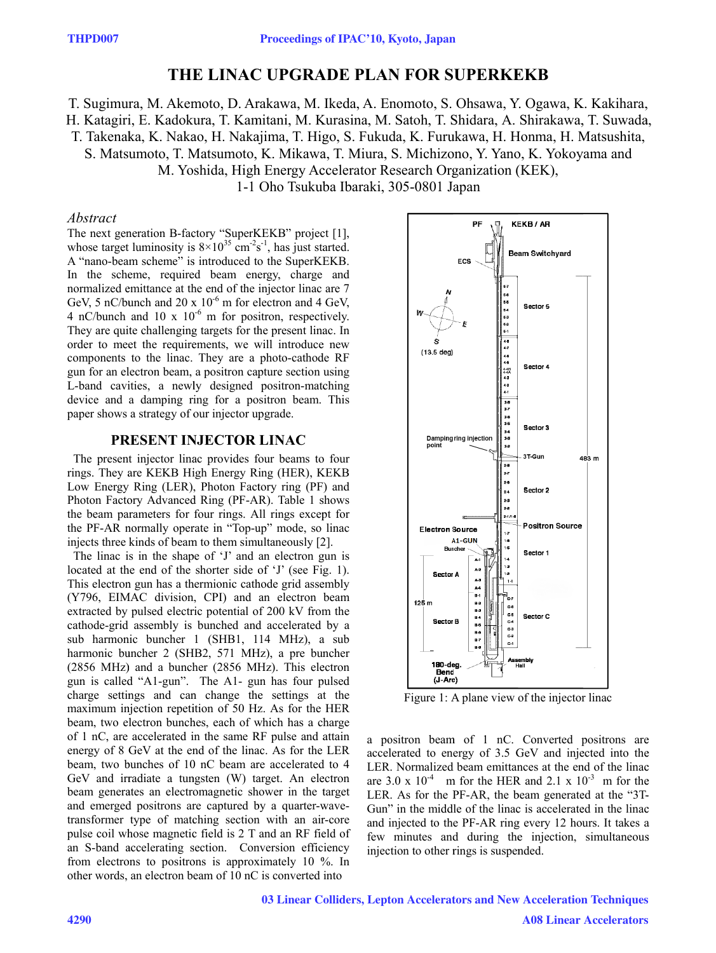# **THE E LINAC C UPGRA ADE PLA N FOR S UPERKE EKB**

T. Sugimura, M. Akemoto, D. Arakawa, M. Ikeda, A. Enomoto, S. Ohsawa, Y. Ogawa, K. Kakihara, H. Katagiri, E. Kadokura, T. Kamitani, M. Kurasina, M. Satoh, T. Shidara, A. Shirakawa, T. Suwada, T. Takenaka, K. Nakao, H. Nakajima, T. Higo, S. Fukuda, K. Furukawa, H. Honma, H. Matsushita, S. Matsumoto, T. Matsumoto, K. Mikawa, T. Miura, S. Michizono, Y. Yano, K. Yokoyama and M. Yoshida, High Energy Accelerator Research Organization (KEK),

1-1 Oho Tsukub ba Ibaraki, 305-0801 J apan

## *Abstract*

The next generation B-factory "SuperKEKB" project [1], whose target luminosity is  $8 \times 10^{35}$  cm<sup>-2</sup>s<sup>-1</sup>, has just started. A "nano-beam scheme" is introduced to the SuperKEKB. In the scheme, required beam energy, charge and normalized emittance at the end of the injector linac are 7 GeV, 5 nC/bunch and 20 x  $10^{-6}$  m for electron and 4 GeV, 4 nC/bunch and 10 x  $10^{-6}$  m for positron, respectively. They are quite challenging targets for the present linac. In order to meet the requirements, we will introduce new components to the linac. They are a photo-cathod de RF gun for an electron beam, a positron capture section using L-band cavities, a newly designed positron-matching device and a damping ring for a positron beam. This paper shows a strategy of our injector upgrade.

## **PR RESENT IN NJECTOR LINAC**

The present injector linac provides four beams to four rings. They are KEKB High Energy Ring (HER), KEKB Low Energy Ring (LER), Photon Factory ring (PF) and Photon Factory Advanced Ring (PF-AR). Table 1 shows the beam parameters for four rings. All rings except for the PF-AR normally operate in "Top-up" mode, so linac injects three kinds of beam to them simultaneously [2].

The linac is in the shape of 'J' and an electron gun is located at the end of the shorter side of  $J'$  (see Fig. 1). This electron gun has a thermionic cathode grid assembly (Y796, EIMAC division, CPI) and an electron beam extracted by pulsed electric potential of 200 kV from the cathode-grid assembly is bunched and d accelerated by a sub harmonic buncher 1 (SHB1, 114 MHz), a sub harmonic buncher 2 (SHB2, 571 MHz), a pre buncher (2856 MHz) and a buncher (2856 MHz). This electron gun is called "A1-gun". The A1- gun has four pulsed charge settings and can change the settings at the maximum injection repetition of 50 Hz. As for the HER beam, two electron bunches, each of which has a charge of 1 nC, are accelerated in the same RF pulse and attain energy of 8 GeV at the end of the linac. As for the LER beam, two bunches of 10 nC beam are accelerated to 4 GeV and irradiate a tungsten (W) target. An electron beam generates an electromagnetic shower in the target and emerged positrons are captured by a quarter-wavetransformer type of matching section with an air-core pulse coil whose magnetic field is 2 T and an RF field of an S-band accelerating section. Conversion efficiency from electrons to positrons is approximately 10 %. In other words, an electron b eam of 10 nC is converted into



Figure 1: A plane view of the injector linac

a positron beam of 1 nC. Converted positrons are accelerated to energy of 3.5 GeV and injected into the LER. Normalized beam emittances at the end of the linac are  $3.0 \times 10^{-4}$  m for the HER and  $2.1 \times 10^{-3}$  m for the LER. As for the PF-AR, the beam generated at the "3T-Gun" in the middle of the linac is accelerated in the linac and injected to the PF-AR ring every 12 hours. It takes a few minutes and during the injection, simultaneous injection to other rings is suspended. eece-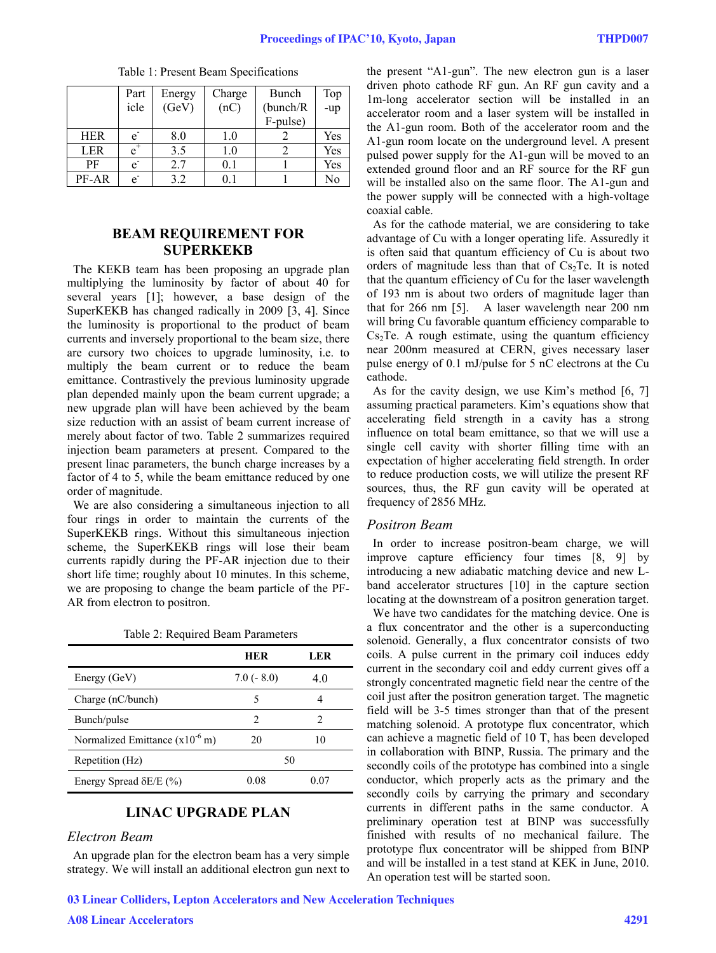|            | Part           | Energy | Charge  | Bunch     | Top |
|------------|----------------|--------|---------|-----------|-----|
|            | icle           | (GeV)  | (nC)    | (bunch/R) | -up |
|            |                |        |         | F-pulse)  |     |
| <b>HER</b> | $\mathbf{e}$   | 8.0    | $1.0\,$ |           | Yes |
| <b>LER</b> | $e^{\dagger}$  | 3.5    | 1.0     |           | Yes |
| PF         | $\mathbf{e}$   | 2.7    | 0.1     |           | Yes |
| PF-AR      | $\overline{e}$ | 3.2    |         |           | No  |

Table 1: Present Beam Specifications

## **BEAM REQUIREMENT FOR SUPERKEKB**

The KEKB team has been proposing an upgrade plan multiplying the luminosity by factor of about 40 for several years [1]; however, a base design of the SuperKEKB has changed radically in 2009 [3, 4]. Since the luminosity is proportional to the product of beam currents and inversely proportional to the beam size, there are cursory two choices to upgrade luminosity, i.e. to multiply the beam current or to reduce the beam emittance. Contrastively the previous luminosity upgrade plan depended mainly upon the beam current upgrade; a new upgrade plan will have been achieved by the beam size reduction with an assist of beam current increase of merely about factor of two. Table 2 summarizes required injection beam parameters at present. Compared to the present linac parameters, the bunch charge increases by a factor of 4 to 5, while the beam emittance reduced by one order of magnitude.

We are also considering a simultaneous injection to all four rings in order to maintain the currents of the SuperKEKB rings. Without this simultaneous injection scheme, the SuperKEKB rings will lose their beam currents rapidly during the PF-AR injection due to their short life time; roughly about 10 minutes. In this scheme, we are proposing to change the beam particle of the PF-AR from electron to positron.

| Table 2: Required Beam Parameters |  |  |
|-----------------------------------|--|--|
|-----------------------------------|--|--|

|                                     | <b>HER</b>  | LER  |
|-------------------------------------|-------------|------|
| Energy (GeV)                        | $7.0(-8.0)$ | 4.0  |
| Charge (nC/bunch)                   |             |      |
| Bunch/pulse                         | 2           | 2    |
| Normalized Emittance $(x10^{-6} m)$ | 20          | 10   |
| Repetition (Hz)                     | 50          |      |
| Energy Spread $\delta E/E$ (%)      | 0 O.S       | 0.07 |

## **LINAC UPGRADE PLAN**

### *Electron Beam*

An upgrade plan for the electron beam has a very simple strategy. We will install an additional electron gun next to the present "A1-gun". The new electron gun is a laser driven photo cathode RF gun. An RF gun cavity and a 1m-long accelerator section will be installed in an accelerator room and a laser system will be installed in the A1-gun room. Both of the accelerator room and the A1-gun room locate on the underground level. A present pulsed power supply for the A1-gun will be moved to an extended ground floor and an RF source for the RF gun will be installed also on the same floor. The A1-gun and the power supply will be connected with a high-voltage coaxial cable.

 As for the cathode material, we are considering to take advantage of Cu with a longer operating life. Assuredly it is often said that quantum efficiency of Cu is about two orders of magnitude less than that of  $Cs<sub>2</sub>Te$ . It is noted that the quantum efficiency of Cu for the laser wavelength of 193 nm is about two orders of magnitude lager than that for 266 nm [5]. A laser wavelength near 200 nm will bring Cu favorable quantum efficiency comparable to  $Cs<sub>2</sub>Te$ . A rough estimate, using the quantum efficiency near 200nm measured at CERN, gives necessary laser pulse energy of 0.1 mJ/pulse for 5 nC electrons at the Cu cathode.

As for the cavity design, we use Kim's method [6, 7] assuming practical parameters. Kim's equations show that accelerating field strength in a cavity has a strong influence on total beam emittance, so that we will use a single cell cavity with shorter filling time with an expectation of higher accelerating field strength. In order to reduce production costs, we will utilize the present RF sources, thus, the RF gun cavity will be operated at frequency of 2856 MHz.

### *Positron Beam*

In order to increase positron-beam charge, we will improve capture efficiency four times [8, 9] by introducing a new adiabatic matching device and new Lband accelerator structures [10] in the capture section locating at the downstream of a positron generation target.

 We have two candidates for the matching device. One is a flux concentrator and the other is a superconducting solenoid. Generally, a flux concentrator consists of two coils. A pulse current in the primary coil induces eddy current in the secondary coil and eddy current gives off a strongly concentrated magnetic field near the centre of the coil just after the positron generation target. The magnetic field will be 3-5 times stronger than that of the present matching solenoid. A prototype flux concentrator, which can achieve a magnetic field of 10 T, has been developed in collaboration with BINP, Russia. The primary and the secondly coils of the prototype has combined into a single conductor, which properly acts as the primary and the secondly coils by carrying the primary and secondary currents in different paths in the same conductor. A preliminary operation test at BINP was successfully finished with results of no mechanical failure. The prototype flux concentrator will be shipped from BINP and will be installed in a test stand at KEK in June, 2010. An operation test will be started soon.